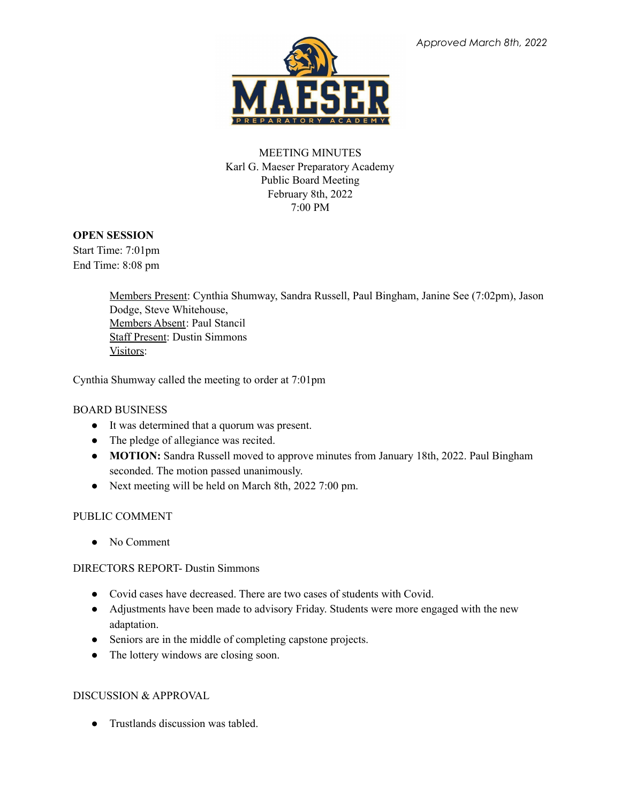

## MEETING MINUTES Karl G. Maeser Preparatory Academy Public Board Meeting February 8th, 2022 7:00 PM

## **OPEN SESSION**

Start Time: 7:01pm End Time: 8:08 pm

> Members Present: Cynthia Shumway, Sandra Russell, Paul Bingham, Janine See (7:02pm), Jason Dodge, Steve Whitehouse, Members Absent: Paul Stancil Staff Present: Dustin Simmons Visitors:

Cynthia Shumway called the meeting to order at 7:01pm

## BOARD BUSINESS

- It was determined that a quorum was present.
- The pledge of allegiance was recited.
- **MOTION:** Sandra Russell moved to approve minutes from January 18th, 2022. Paul Bingham seconded. The motion passed unanimously.
- Next meeting will be held on March 8th, 2022 7:00 pm.

# PUBLIC COMMENT

● No Comment

## DIRECTORS REPORT- Dustin Simmons

- Covid cases have decreased. There are two cases of students with Covid.
- Adjustments have been made to advisory Friday. Students were more engaged with the new adaptation.
- Seniors are in the middle of completing capstone projects.
- The lottery windows are closing soon.

## DISCUSSION & APPROVAL

• Trustlands discussion was tabled.